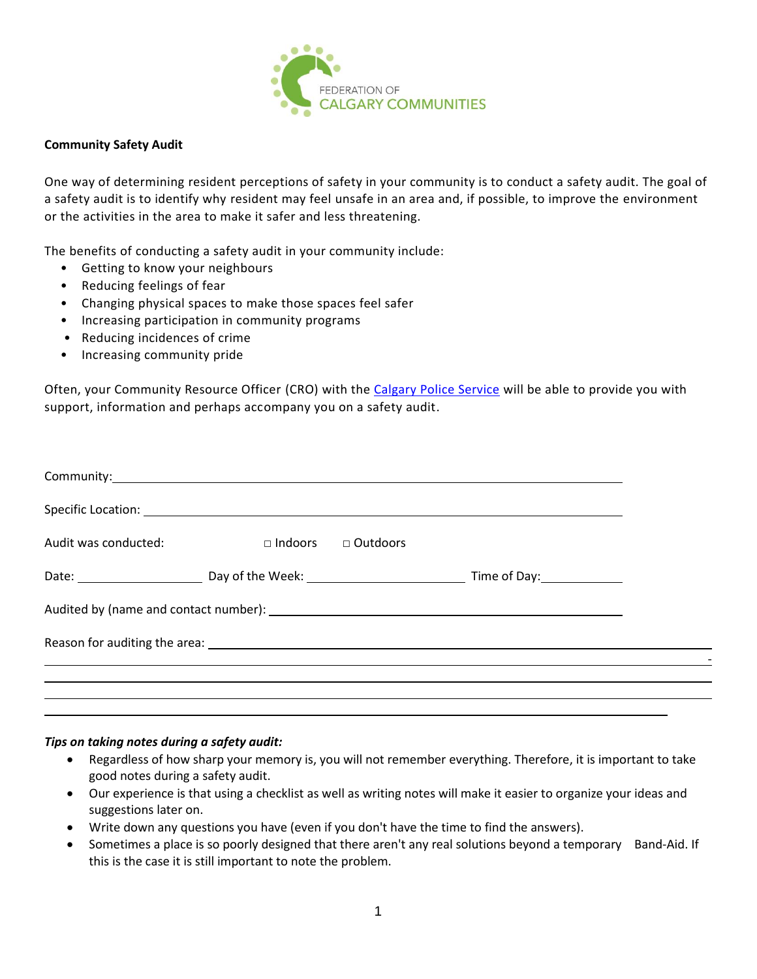

## **Community Safety Audit**

One way of determining resident perceptions of safety in your community is to conduct a safety audit. The goal of a safety audit is to identify why resident may feel unsafe in an area and, if possible, to improve the environment or the activities in the area to make it safer and less threatening.

The benefits of conducting a safety audit in your community include:

- Getting to know your neighbours
- Reducing feelings of fear
- Changing physical spaces to make those spaces feel safer
- Increasing participation in community programs
- Reducing incidences of crime
- Increasing community pride

Often, your Community Resource Officer (CRO) with the [Calgary Police Service](http://www.calgary.ca/cps/Pages/Calgary-Police-Service-district-offices.aspx) will be able to provide you with support, information and perhaps accompany you on a safety audit.

| Specific Location: <u>and a series of the series of the series of the series of the series of the series of the series of the series of the series of the series of the series of the series of the series of the series of the </u> |                |                 |  |
|--------------------------------------------------------------------------------------------------------------------------------------------------------------------------------------------------------------------------------------|----------------|-----------------|--|
| Audit was conducted:                                                                                                                                                                                                                 | $\Box$ Indoors | $\Box$ Outdoors |  |
|                                                                                                                                                                                                                                      |                |                 |  |
|                                                                                                                                                                                                                                      |                |                 |  |
|                                                                                                                                                                                                                                      |                |                 |  |
|                                                                                                                                                                                                                                      |                |                 |  |
|                                                                                                                                                                                                                                      |                |                 |  |

## *Tips on taking notes during a safety audit:*

- Regardless of how sharp your memory is, you will not remember everything. Therefore, it is important to take good notes during a safety audit.
- Our experience is that using a checklist as well as writing notes will make it easier to organize your ideas and suggestions later on.
- Write down any questions you have (even if you don't have the time to find the answers).
- Sometimes a place is so poorly designed that there aren't any real solutions beyond a temporary Band-Aid. If this is the case it is still important to note the problem.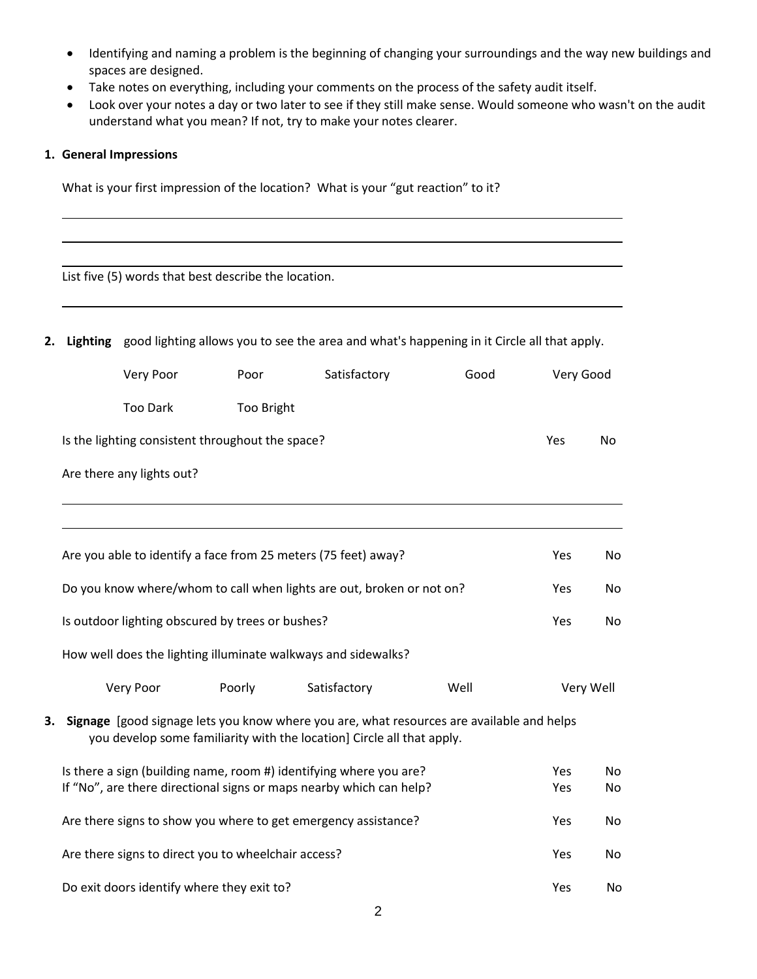- Identifying and naming a problem is the beginning of changing your surroundings and the way new buildings and spaces are designed.
- Take notes on everything, including your comments on the process of the safety audit itself.
- Look over your notes a day or two later to see if they still make sense. Would someone who wasn't on the audit understand what you mean? If not, try to make your notes clearer.

## **1. General Impressions**

What is your first impression of the location? What is your "gut reaction" to it?

|    |                           | List five (5) words that best describe the location. |                                                                                                                                                                     |      |            |           |
|----|---------------------------|------------------------------------------------------|---------------------------------------------------------------------------------------------------------------------------------------------------------------------|------|------------|-----------|
| 2. |                           |                                                      | Lighting good lighting allows you to see the area and what's happening in it Circle all that apply.                                                                 |      |            |           |
|    | Very Poor                 | Poor                                                 | Satisfactory                                                                                                                                                        | Good | Very Good  |           |
|    | <b>Too Dark</b>           | Too Bright                                           |                                                                                                                                                                     |      |            |           |
|    |                           | Is the lighting consistent throughout the space?     |                                                                                                                                                                     |      | Yes        | No.       |
|    | Are there any lights out? |                                                      |                                                                                                                                                                     |      |            |           |
|    |                           |                                                      |                                                                                                                                                                     |      |            |           |
|    |                           |                                                      | Are you able to identify a face from 25 meters (75 feet) away?                                                                                                      |      | Yes        | No        |
|    |                           |                                                      | Do you know where/whom to call when lights are out, broken or not on?                                                                                               |      | Yes        | No        |
|    |                           | Is outdoor lighting obscured by trees or bushes?     |                                                                                                                                                                     |      | Yes        | No.       |
|    |                           |                                                      | How well does the lighting illuminate walkways and sidewalks?                                                                                                       |      |            |           |
|    | Very Poor                 | Poorly                                               | Satisfactory                                                                                                                                                        | Well |            | Very Well |
| 3. |                           |                                                      | Signage [good signage lets you know where you are, what resources are available and helps<br>you develop some familiarity with the location] Circle all that apply. |      |            |           |
|    |                           |                                                      | Is there a sign (building name, room #) identifying where you are?<br>If "No", are there directional signs or maps nearby which can help?                           |      | Yes<br>Yes | No<br>No  |
|    |                           |                                                      | Are there signs to show you where to get emergency assistance?                                                                                                      |      | Yes        | No        |
|    |                           | Are there signs to direct you to wheelchair access?  |                                                                                                                                                                     |      | Yes        | No        |
|    |                           | Do exit doors identify where they exit to?           |                                                                                                                                                                     |      | Yes        | No        |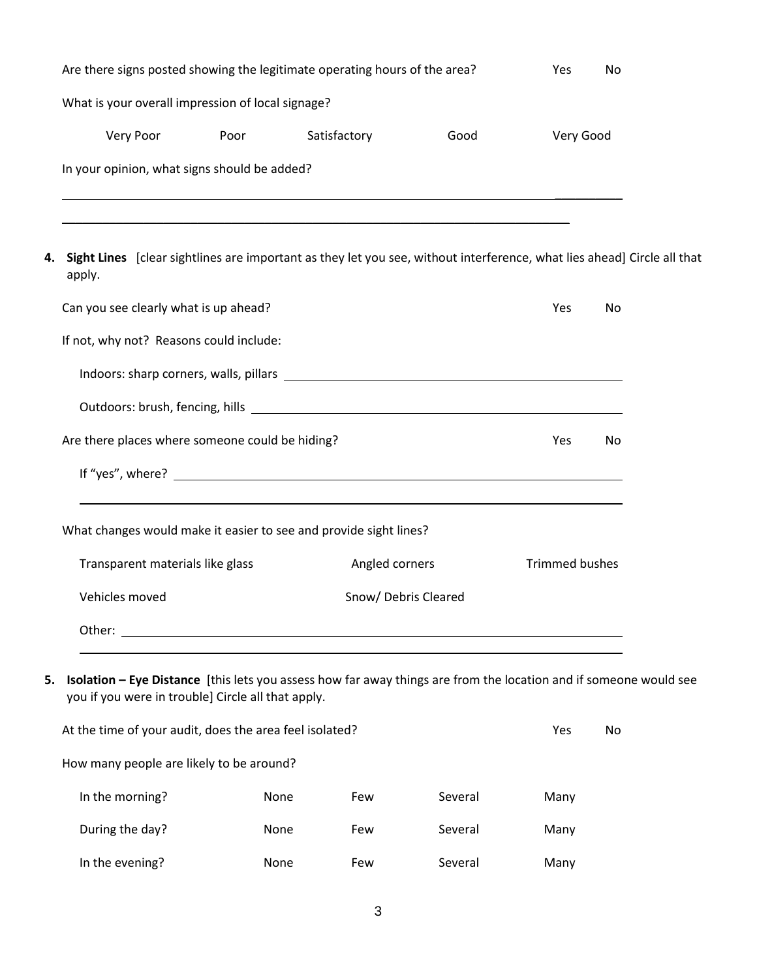| Are there signs posted showing the legitimate operating hours of the area?<br>Yes<br>No                                                                                       |                                                          |                      |      |                       |     |  |
|-------------------------------------------------------------------------------------------------------------------------------------------------------------------------------|----------------------------------------------------------|----------------------|------|-----------------------|-----|--|
| What is your overall impression of local signage?                                                                                                                             |                                                          |                      |      |                       |     |  |
| Very Poor                                                                                                                                                                     | Poor                                                     | Satisfactory         | Good | Very Good             |     |  |
| In your opinion, what signs should be added?                                                                                                                                  |                                                          |                      |      |                       |     |  |
| Sight Lines [clear sightlines are important as they let you see, without interference, what lies ahead] Circle all that<br>apply.                                             |                                                          |                      |      |                       |     |  |
| Can you see clearly what is up ahead?                                                                                                                                         |                                                          |                      |      | Yes                   | No  |  |
| If not, why not? Reasons could include:                                                                                                                                       |                                                          |                      |      |                       |     |  |
|                                                                                                                                                                               |                                                          |                      |      |                       |     |  |
|                                                                                                                                                                               |                                                          |                      |      |                       |     |  |
| Are there places where someone could be hiding?                                                                                                                               |                                                          |                      |      | Yes                   | No  |  |
|                                                                                                                                                                               |                                                          |                      |      |                       |     |  |
| What changes would make it easier to see and provide sight lines?                                                                                                             |                                                          |                      |      |                       |     |  |
| Transparent materials like glass                                                                                                                                              |                                                          | Angled corners       |      | <b>Trimmed bushes</b> |     |  |
| Vehicles moved                                                                                                                                                                |                                                          | Snow/ Debris Cleared |      |                       |     |  |
| Other:                                                                                                                                                                        | <u> 1980 - Johann John Stein, marwolaethau (b. 1980)</u> |                      |      |                       |     |  |
| Isolation - Eye Distance [this lets you assess how far away things are from the location and if someone would see<br>5.<br>you if you were in trouble] Circle all that apply. |                                                          |                      |      |                       |     |  |
| At the time of your audit, does the area feel isolated?                                                                                                                       |                                                          |                      |      | Yes                   | No. |  |

| At the time of your addit, does the area leef isolated? |      |     |         |      | <b>INC</b> |
|---------------------------------------------------------|------|-----|---------|------|------------|
| How many people are likely to be around?                |      |     |         |      |            |
| In the morning?                                         | None | Few | Several | Many |            |
| During the day?                                         | None | Few | Several | Many |            |
| In the evening?                                         | None | Few | Several | Many |            |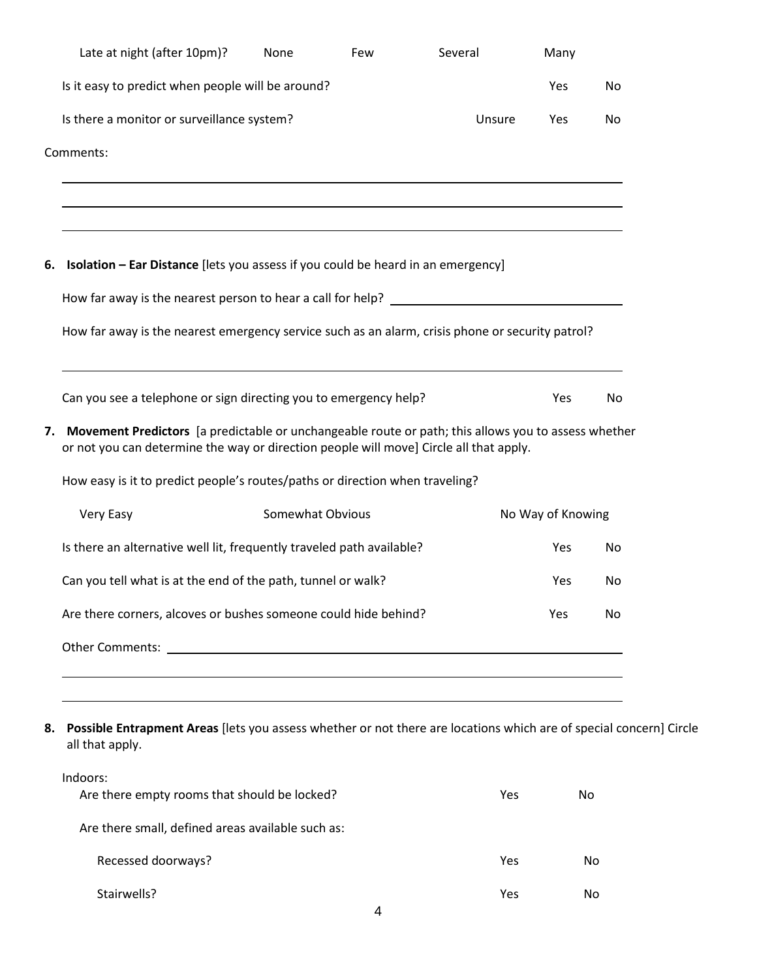| Late at night (after 10pm)?                                                                                                                                                                      | None             | Few | Several | Many              |    |
|--------------------------------------------------------------------------------------------------------------------------------------------------------------------------------------------------|------------------|-----|---------|-------------------|----|
| Is it easy to predict when people will be around?                                                                                                                                                |                  |     |         | Yes               | No |
| Is there a monitor or surveillance system?                                                                                                                                                       |                  |     | Unsure  | Yes               | No |
| Comments:                                                                                                                                                                                        |                  |     |         |                   |    |
| 6. Isolation - Ear Distance [lets you assess if you could be heard in an emergency]                                                                                                              |                  |     |         |                   |    |
|                                                                                                                                                                                                  |                  |     |         |                   |    |
| How far away is the nearest emergency service such as an alarm, crisis phone or security patrol?                                                                                                 |                  |     |         |                   |    |
| Can you see a telephone or sign directing you to emergency help?                                                                                                                                 |                  |     |         | Yes               | No |
| 7. Movement Predictors [a predictable or unchangeable route or path; this allows you to assess whether<br>or not you can determine the way or direction people will move] Circle all that apply. |                  |     |         |                   |    |
| How easy is it to predict people's routes/paths or direction when traveling?                                                                                                                     |                  |     |         |                   |    |
| Very Easy                                                                                                                                                                                        | Somewhat Obvious |     |         | No Way of Knowing |    |
| Is there an alternative well lit, frequently traveled path available?                                                                                                                            |                  |     |         | Yes               | No |
|                                                                                                                                                                                                  |                  |     |         |                   | No |
| Can you tell what is at the end of the path, tunnel or walk?                                                                                                                                     |                  |     |         | Yes               |    |
| Are there corners, alcoves or bushes someone could hide behind?                                                                                                                                  |                  |     |         | Yes               | No |
|                                                                                                                                                                                                  |                  |     |         |                   |    |
|                                                                                                                                                                                                  |                  |     |         |                   |    |

| Indoors:<br>Are there empty rooms that should be locked? | Yes | No.       |
|----------------------------------------------------------|-----|-----------|
| Are there small, defined areas available such as:        |     |           |
| Recessed doorways?                                       | Yes | <b>No</b> |
| Stairwells?                                              | Yes | No        |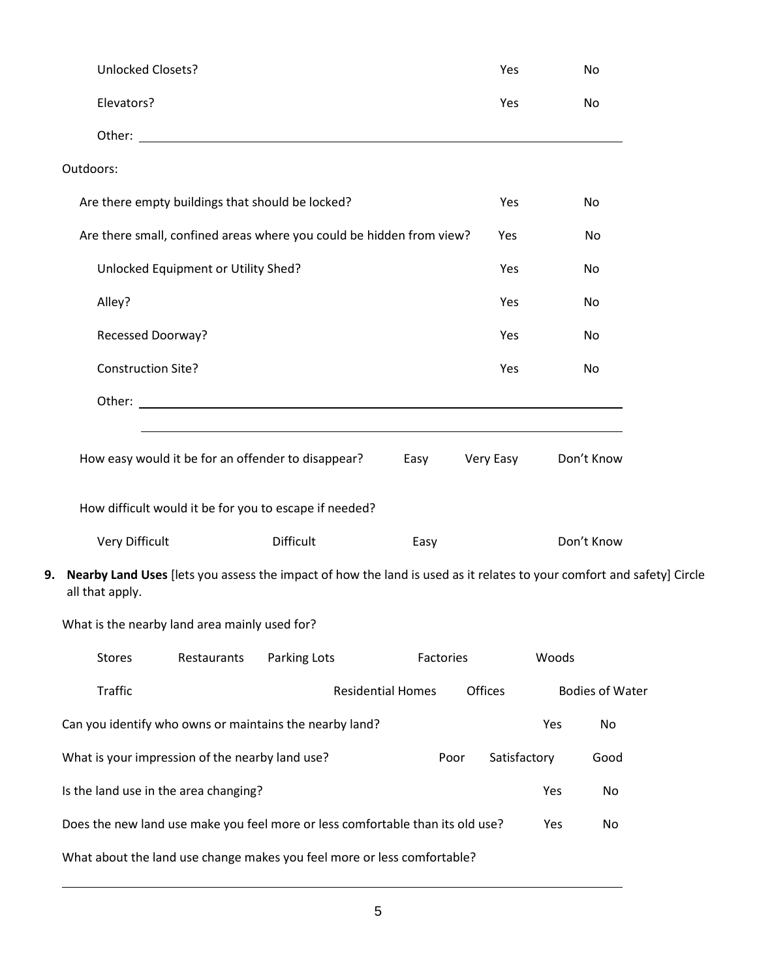|    | <b>Unlocked Closets?</b>                                                                                                                 |              |                          | Yes          |       | No                     |  |
|----|------------------------------------------------------------------------------------------------------------------------------------------|--------------|--------------------------|--------------|-------|------------------------|--|
|    | Elevators?                                                                                                                               |              |                          | Yes          |       | No                     |  |
|    |                                                                                                                                          |              |                          |              |       |                        |  |
|    | Outdoors:                                                                                                                                |              |                          |              |       |                        |  |
|    | Are there empty buildings that should be locked?                                                                                         |              |                          | Yes          |       | No                     |  |
|    | Are there small, confined areas where you could be hidden from view?                                                                     |              |                          | Yes          |       | No                     |  |
|    | Unlocked Equipment or Utility Shed?                                                                                                      |              |                          | Yes          |       | No                     |  |
|    | Alley?                                                                                                                                   |              |                          | Yes          |       | No                     |  |
|    | Recessed Doorway?                                                                                                                        |              |                          | Yes          |       | No                     |  |
|    | <b>Construction Site?</b>                                                                                                                |              |                          | Yes          |       | No                     |  |
|    |                                                                                                                                          |              |                          |              |       |                        |  |
|    |                                                                                                                                          |              |                          |              |       |                        |  |
|    | How easy would it be for an offender to disappear?                                                                                       |              | Easy                     | Very Easy    |       | Don't Know             |  |
|    | How difficult would it be for you to escape if needed?                                                                                   |              |                          |              |       |                        |  |
|    |                                                                                                                                          |              |                          |              |       |                        |  |
|    | Very Difficult                                                                                                                           | Difficult    | Easy                     |              |       | Don't Know             |  |
| 9. | Nearby Land Uses [lets you assess the impact of how the land is used as it relates to your comfort and safety] Circle<br>all that apply. |              |                          |              |       |                        |  |
|    | What is the nearby land area mainly used for?                                                                                            |              |                          |              |       |                        |  |
|    | Restaurants<br><b>Stores</b>                                                                                                             | Parking Lots | Factories                |              | Woods |                        |  |
|    | Traffic                                                                                                                                  |              | <b>Residential Homes</b> | Offices      |       | <b>Bodies of Water</b> |  |
|    | Can you identify who owns or maintains the nearby land?                                                                                  |              |                          |              | Yes   | No                     |  |
|    | What is your impression of the nearby land use?                                                                                          |              | Poor                     | Satisfactory |       | Good                   |  |
|    | Is the land use in the area changing?                                                                                                    |              |                          |              | Yes   | No                     |  |
|    | Does the new land use make you feel more or less comfortable than its old use?                                                           |              |                          |              | Yes   | No                     |  |
|    | What about the land use change makes you feel more or less comfortable?                                                                  |              |                          |              |       |                        |  |
|    |                                                                                                                                          |              |                          |              |       |                        |  |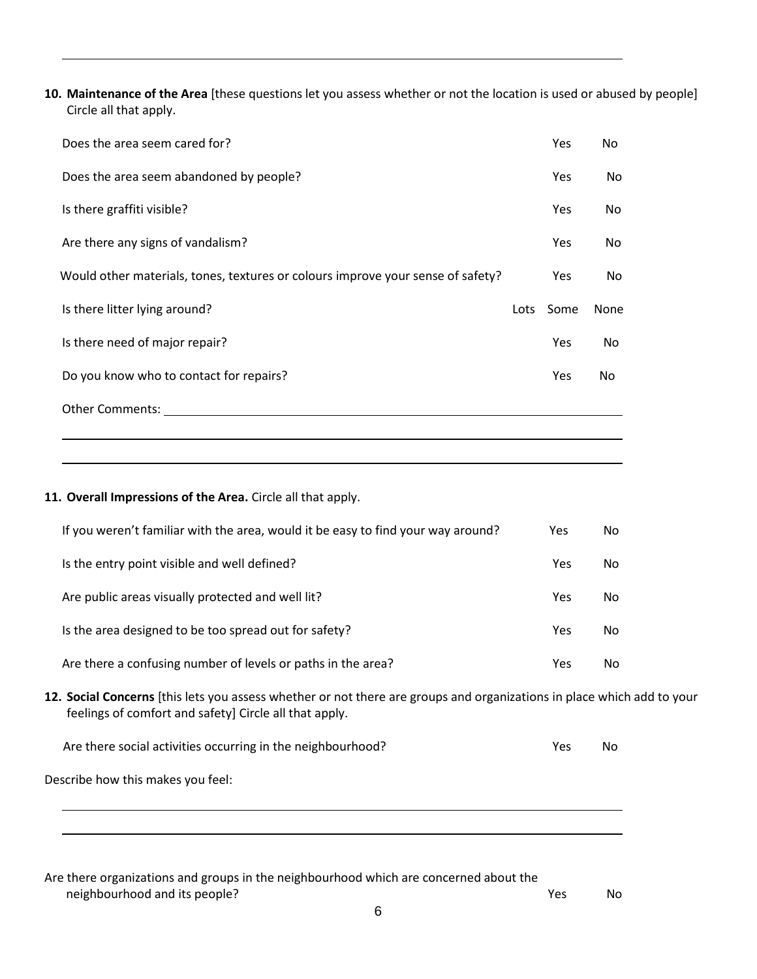**10. Maintenance of the Area** [these questions let you assess whether or not the location is used or abused by people] Circle all that apply.

| Does the area seem cared for?                                                   | Yes        | No.            |
|---------------------------------------------------------------------------------|------------|----------------|
| Does the area seem abandoned by people?                                         | Yes        | No.            |
| Is there graffiti visible?                                                      | Yes        | No.            |
| Are there any signs of vandalism?                                               | Yes        | N <sub>0</sub> |
| Would other materials, tones, textures or colours improve your sense of safety? | <b>Yes</b> | No.            |
| Is there litter lying around?                                                   | Lots Some  | None           |
| Is there need of major repair?                                                  | Yes        | No.            |
| Do you know who to contact for repairs?                                         | Yes        | No.            |
| <b>Other Comments:</b>                                                          |            |                |
|                                                                                 |            |                |

## **11. Overall Impressions of the Area.** Circle all that apply.

| If you weren't familiar with the area, would it be easy to find your way around? | Yes. | No |
|----------------------------------------------------------------------------------|------|----|
| Is the entry point visible and well defined?                                     | Yes  | No |
| Are public areas visually protected and well lit?                                | Yes  | No |
| Is the area designed to be too spread out for safety?                            | Yes  | No |
| Are there a confusing number of levels or paths in the area?                     | Yes  | No |

**12. Social Concerns** [this lets you assess whether or not there are groups and organizations in place which add to your feelings of comfort and safety] Circle all that apply.

| Are there social activities occurring in the neighbourhood? | Yes | No. |
|-------------------------------------------------------------|-----|-----|
|-------------------------------------------------------------|-----|-----|

Describe how this makes you feel:

 $\overline{a}$ 

Are there organizations and groups in the neighbourhood which are concerned about the neighbourhood and its people?<br>
No